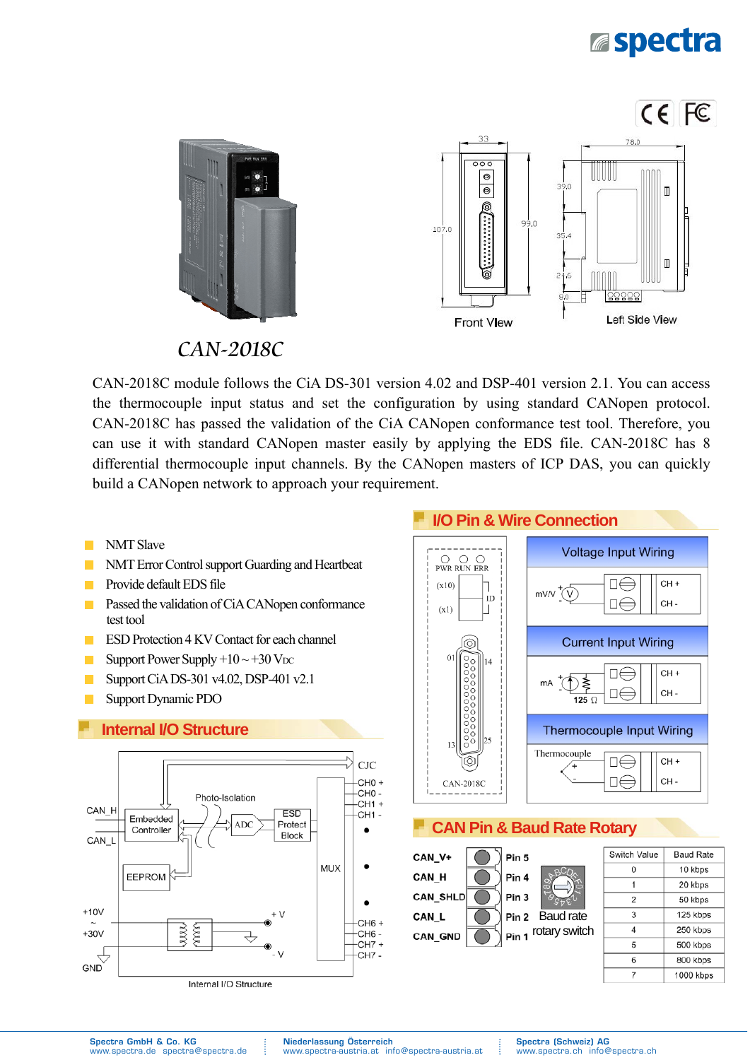# **Espectra**



CAN-2018C

CAN-2018C module follows the CiA DS-301 version 4.02 and DSP-401 version 2.1. You can access the thermocouple input status and set the configuration by using standard CANopen protocol. CAN-2018C has passed the validation of the CiA CANopen conformance test tool. Therefore, you can use it with standard CANopen master easily by applying the EDS file. CAN-2018C has 8 differential thermocouple input channels. By the CANopen masters of ICP DAS, you can quickly build a CANopen network to approach your requirement.

- NMT Slave **The State**
- NMT Error Control support Guarding and Heartbeat
- Provide default EDS file  $\mathcal{L}_{\mathcal{A}}$
- $\mathcal{L}_{\mathcal{A}}$ Passed the validation of CiA CANopen conformance test tool
- **ESD Protection 4 KV Contact for each channel**
- Support Power Supply  $+10 \sim +30$  V<sub>DC</sub>  $\mathcal{L}^{\mathcal{L}}$
- Support CiA DS-301 v4.02, DSP-401 v2.1  $\mathbb{R}^n$
- **T** Support Dynamic PDO

#### **Internal I/O Structure**





#### **CAN Pin & Baud Rate Rotary**

CAN\_V+ Pin 5 CAN H Pin 4 **CAN SHLD** Pin 3 CAN\_L Pin<sub>2</sub> Baud rate Pin 1 rotary switch CAN\_GND

| Switch Value | <b>Baud Rate</b> |
|--------------|------------------|
|              | 10 kbps          |
|              | 20 kbps          |
| 2            | 50 kbps          |
| 3            | 125 kbps         |
| Λ            | 250 kbps         |
| 5            | 500 kbps         |
| 6            | 800 kbps         |
|              | 1000 kbps        |

Spectra GmbH & Co. KG www.spectra.de spectra@spectra.de